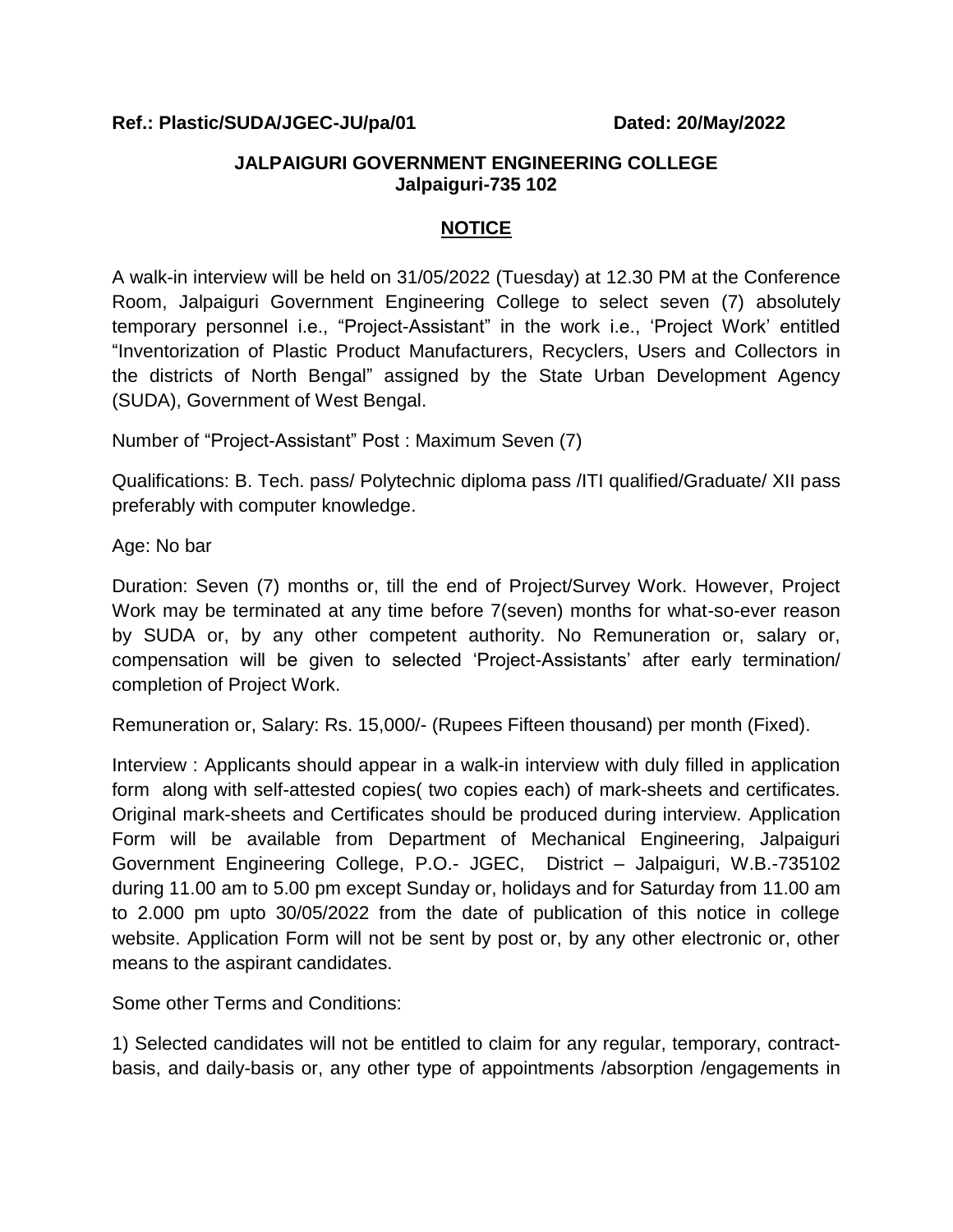## **Ref.: Plastic/SUDA/JGEC-JU/pa/01 Dated: 20/May/2022**

## **JALPAIGURI GOVERNMENT ENGINEERING COLLEGE Jalpaiguri-735 102**

## **NOTICE**

A walk-in interview will be held on 31/05/2022 (Tuesday) at 12.30 PM at the Conference Room, Jalpaiguri Government Engineering College to select seven (7) absolutely temporary personnel i.e., "Project-Assistant" in the work i.e., "Project Work" entitled "Inventorization of Plastic Product Manufacturers, Recyclers, Users and Collectors in the districts of North Bengal" assigned by the State Urban Development Agency (SUDA), Government of West Bengal.

Number of "Project-Assistant" Post : Maximum Seven (7)

Qualifications: B. Tech. pass/ Polytechnic diploma pass /ITI qualified/Graduate/ XII pass preferably with computer knowledge.

Age: No bar

Duration: Seven (7) months or, till the end of Project/Survey Work. However, Project Work may be terminated at any time before 7(seven) months for what-so-ever reason by SUDA or, by any other competent authority. No Remuneration or, salary or, compensation will be given to selected "Project-Assistants" after early termination/ completion of Project Work.

Remuneration or, Salary: Rs. 15,000/- (Rupees Fifteen thousand) per month (Fixed).

Interview : Applicants should appear in a walk-in interview with duly filled in application form along with self-attested copies( two copies each) of mark-sheets and certificates. Original mark-sheets and Certificates should be produced during interview. Application Form will be available from Department of Mechanical Engineering, Jalpaiguri Government Engineering College, P.O.- JGEC, District – Jalpaiguri, W.B.-735102 during 11.00 am to 5.00 pm except Sunday or, holidays and for Saturday from 11.00 am to 2.000 pm upto 30/05/2022 from the date of publication of this notice in college website. Application Form will not be sent by post or, by any other electronic or, other means to the aspirant candidates.

Some other Terms and Conditions:

1) Selected candidates will not be entitled to claim for any regular, temporary, contractbasis, and daily-basis or, any other type of appointments /absorption /engagements in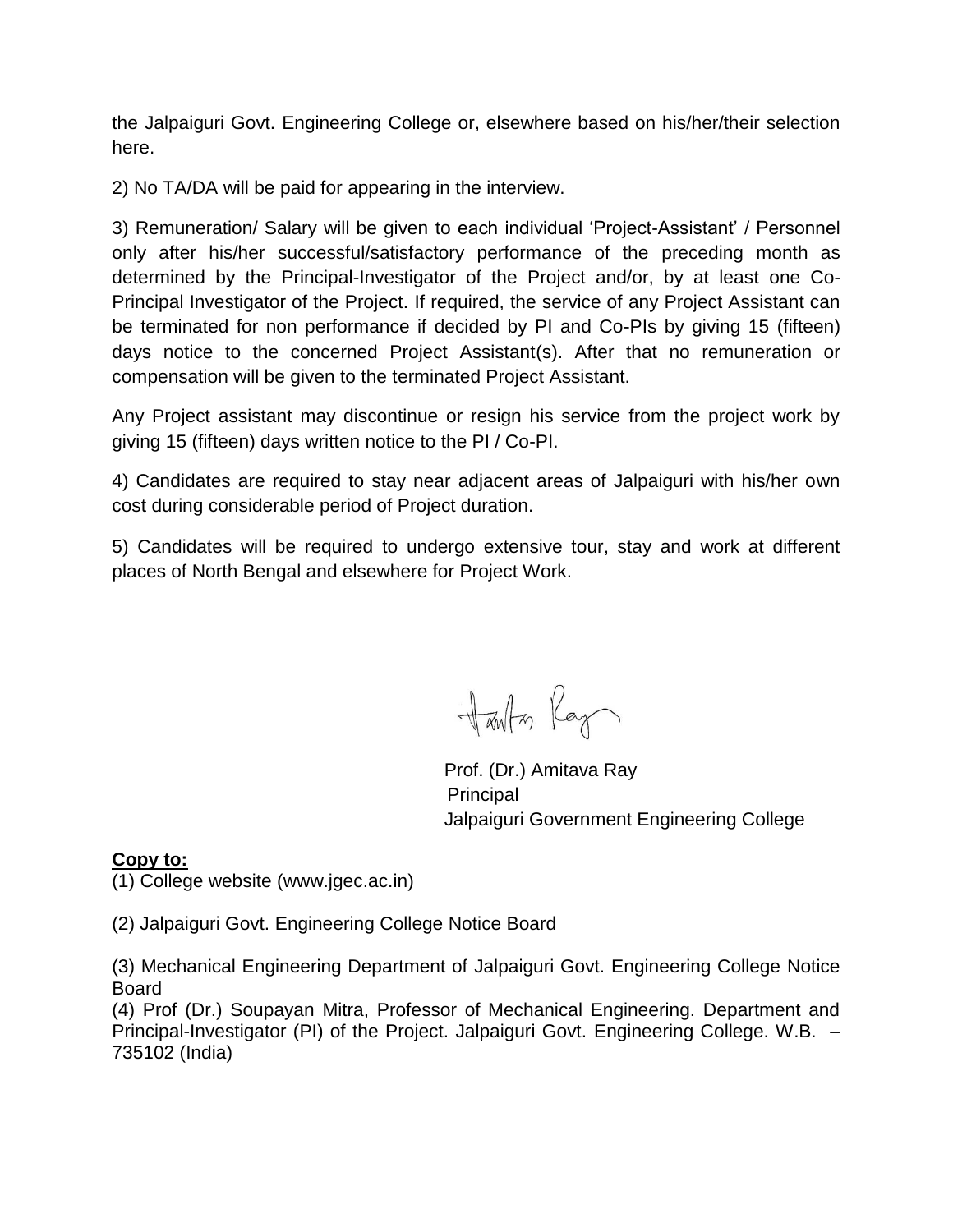the Jalpaiguri Govt. Engineering College or, elsewhere based on his/her/their selection here.

2) No TA/DA will be paid for appearing in the interview.

3) Remuneration/ Salary will be given to each individual "Project-Assistant" / Personnel only after his/her successful/satisfactory performance of the preceding month as determined by the Principal-Investigator of the Project and/or, by at least one Co-Principal Investigator of the Project. If required, the service of any Project Assistant can be terminated for non performance if decided by PI and Co-PIs by giving 15 (fifteen) days notice to the concerned Project Assistant(s). After that no remuneration or compensation will be given to the terminated Project Assistant.

Any Project assistant may discontinue or resign his service from the project work by giving 15 (fifteen) days written notice to the PI / Co-PI.

4) Candidates are required to stay near adjacent areas of Jalpaiguri with his/her own cost during considerable period of Project duration.

5) Candidates will be required to undergo extensive tour, stay and work at different places of North Bengal and elsewhere for Project Work.

Harlton Ray

 Prof. (Dr.) Amitava Ray Principal Jalpaiguri Government Engineering College

## **Copy to:**

(1) College website (www.jgec.ac.in)

(2) Jalpaiguri Govt. Engineering College Notice Board

(3) Mechanical Engineering Department of Jalpaiguri Govt. Engineering College Notice Board

(4) Prof (Dr.) Soupayan Mitra, Professor of Mechanical Engineering. Department and Principal-Investigator (PI) of the Project. Jalpaiguri Govt. Engineering College. W.B. – 735102 (India)